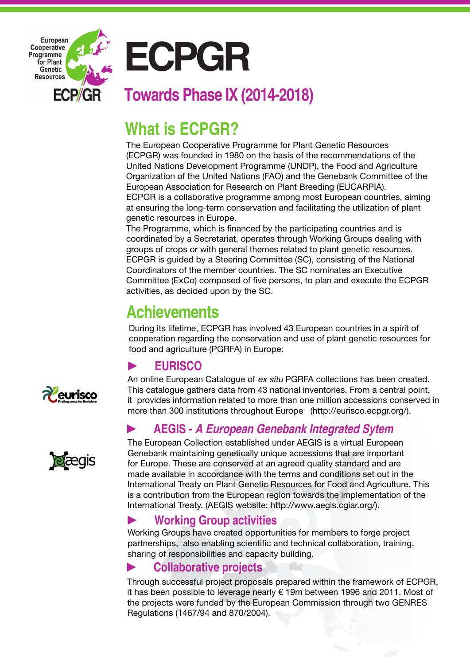

# **What is ECPGR?**

The European Cooperative Programme for Plant Genetic Resources (ECPGR) was founded in 1980 on the basis of the recommendations of the United Nations Development Programme (UNDP), the Food and Agriculture Organization of the United Nations (FAO) and the Genebank Committee of the European Association for Research on Plant Breeding (EUCARPIA). ECPGR is a collaborative programme among most European countries, aiming at ensuring the long-term conservation and facilitating the utilization of plant genetic resources in Europe.

The Programme, which is financed by the participating countries and is coordinated by a Secretariat, operates through Working Groups dealing with groups of crops or with general themes related to plant genetic resources. ECPGR is guided by a Steering Committee (SC), consisting of the National Coordinators of the member countries. The SC nominates an Executive Committee (ExCo) composed of five persons, to plan and execute the ECPGR activities, as decided upon by the SC.

# **Achievements**

During its lifetime, ECPGR has involved 43 European countries in a spirit of cooperation regarding the conservation and use of plant genetic resources for food and agriculture (PGRFA) in Europe:

# ► **EURISCO**

An online European Catalogue of ex situ PGRFA collections has been created. This catalogue gathers data from 43 national inventories. From a central point, it provides information related to more than one million accessions conserved in more than 300 institutions throughout Europe (http://eurisco.ecpgr.org/).

# ► **AEGIS - A European Genebank Integrated Sytem**

The European Collection established under AEGIS is a virtual European Genebank maintaining genetically unique accessions that are important for Europe. These are conserved at an agreed quality standard and are made available in accordance with the terms and conditions set out in the International Treaty on Plant Genetic Resources for Food and Agriculture. This is a contribution from the European region towards the implementation of the International Treaty. (AEGIS website: http://www.aegis.cgiar.org/).

#### ► **Working Group activities**

Working Groups have created opportunities for members to forge project partnerships, also enabling scientific and technical collaboration, training, sharing of responsibilities and capacity building.

# ► **Collaborative projects**

Through successful project proposals prepared within the framework of ECPGR, it has been possible to leverage nearly € 19m between 1996 and 2011. Most of the projects were funded by the European Commission through two GENRES Regulations (1467/94 and 870/2004).